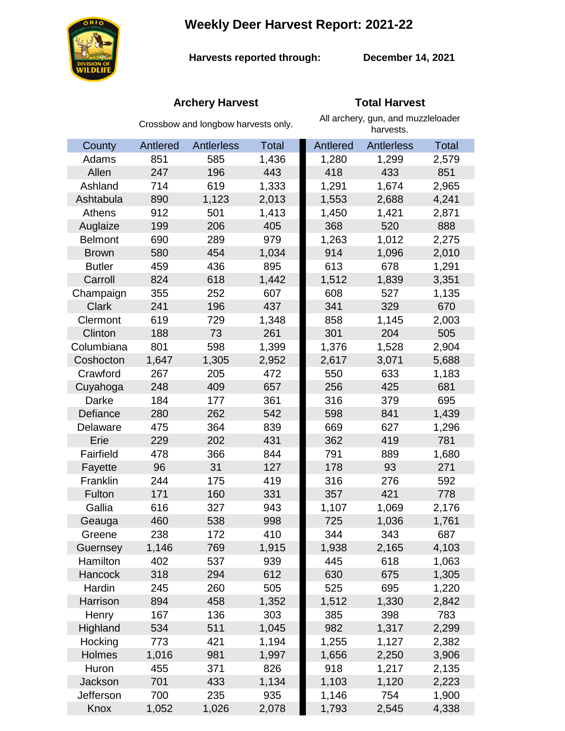**Weekly Deer Harvest Report: 2021-22**



**Harvests reported through:** 

**December 14, 2021**

# **Archery Harvest Total Harvest**

|                | Crossbow and longbow harvests only. |            |              | All archery, gun, and muzzleloader<br>harvests. |                   |              |  |
|----------------|-------------------------------------|------------|--------------|-------------------------------------------------|-------------------|--------------|--|
| County         | Antlered                            | Antlerless | <b>Total</b> | Antlered                                        | <b>Antlerless</b> | <b>Total</b> |  |
| Adams          | 851                                 | 585        | 1,436        | 1,280                                           | 1,299             | 2,579        |  |
| Allen          | 247                                 | 196        | 443          | 418                                             | 433               | 851          |  |
| Ashland        | 714                                 | 619        | 1,333        | 1,291                                           | 1,674             | 2,965        |  |
| Ashtabula      | 890                                 | 1,123      | 2,013        | 1,553                                           | 2,688             | 4,241        |  |
| Athens         | 912                                 | 501        | 1,413        | 1,450                                           | 1,421             | 2,871        |  |
| Auglaize       | 199                                 | 206        | 405          | 368                                             | 520               | 888          |  |
| <b>Belmont</b> | 690                                 | 289        | 979          | 1,263                                           | 1,012             | 2,275        |  |
| <b>Brown</b>   | 580                                 | 454        | 1,034        | 914                                             | 1,096             | 2,010        |  |
| <b>Butler</b>  | 459                                 | 436        | 895          | 613                                             | 678               | 1,291        |  |
| Carroll        | 824                                 | 618        | 1,442        | 1,512                                           | 1,839             | 3,351        |  |
| Champaign      | 355                                 | 252        | 607          | 608                                             | 527               | 1,135        |  |
| <b>Clark</b>   | 241                                 | 196        | 437          | 341                                             | 329               | 670          |  |
| Clermont       | 619                                 | 729        | 1,348        | 858                                             | 1,145             | 2,003        |  |
| Clinton        | 188                                 | 73         | 261          | 301                                             | 204               | 505          |  |
| Columbiana     | 801                                 | 598        | 1,399        | 1,376                                           | 1,528             | 2,904        |  |
| Coshocton      | 1,647                               | 1,305      | 2,952        | 2,617                                           | 3,071             | 5,688        |  |
| Crawford       | 267                                 | 205        | 472          | 550                                             | 633               | 1,183        |  |
| Cuyahoga       | 248                                 | 409        | 657          | 256                                             | 425               | 681          |  |
| Darke          | 184                                 | 177        | 361          | 316                                             | 379               | 695          |  |
| Defiance       | 280                                 | 262        | 542          | 598                                             | 841               | 1,439        |  |
| Delaware       | 475                                 | 364        | 839          | 669                                             | 627               | 1,296        |  |
| Erie           | 229                                 | 202        | 431          | 362                                             | 419               | 781          |  |
| Fairfield      | 478                                 | 366        | 844          | 791                                             | 889               | 1,680        |  |
| Fayette        | 96                                  | 31         | 127          | 178                                             | 93                | 271          |  |
| Franklin       | 244                                 | 175        | 419          | 316                                             | 276               | 592          |  |
| Fulton         | 171                                 | 160        | 331          | 357                                             | 421               | 778          |  |
| Gallia         | 616                                 | 327        | 943          | 1,107                                           | 1,069             | 2,176        |  |
| Geauga         | 460                                 | 538        | 998          | 725                                             | 1,036             | 1,761        |  |
| Greene         | 238                                 | 172        | 410          | 344                                             | 343               | 687          |  |
| Guernsey       | 1,146                               | 769        | 1,915        | 1,938                                           | 2,165             | 4,103        |  |
| Hamilton       | 402                                 | 537        | 939          | 445                                             | 618               | 1,063        |  |
| Hancock        | 318                                 | 294        | 612          | 630                                             | 675               | 1,305        |  |
| Hardin         | 245                                 | 260        | 505          | 525                                             | 695               | 1,220        |  |
| Harrison       | 894                                 | 458        | 1,352        | 1,512                                           | 1,330             | 2,842        |  |
| Henry          | 167                                 | 136        | 303          | 385                                             | 398               | 783          |  |
| Highland       | 534                                 | 511        | 1,045        | 982                                             | 1,317             | 2,299        |  |
| Hocking        | 773                                 | 421        | 1,194        | 1,255                                           | 1,127             | 2,382        |  |
| Holmes         | 1,016                               | 981        | 1,997        | 1,656                                           | 2,250             | 3,906        |  |
| Huron          | 455                                 | 371        | 826          | 918                                             | 1,217             | 2,135        |  |
| <b>Jackson</b> | 701                                 | 433        | 1,134        | 1,103                                           | 1,120             | 2,223        |  |
| Jefferson      | 700                                 | 235        | 935          | 1,146                                           | 754               | 1,900        |  |
| Knox           | 1,052                               | 1,026      | 2,078        | 1,793                                           | 2,545             | 4,338        |  |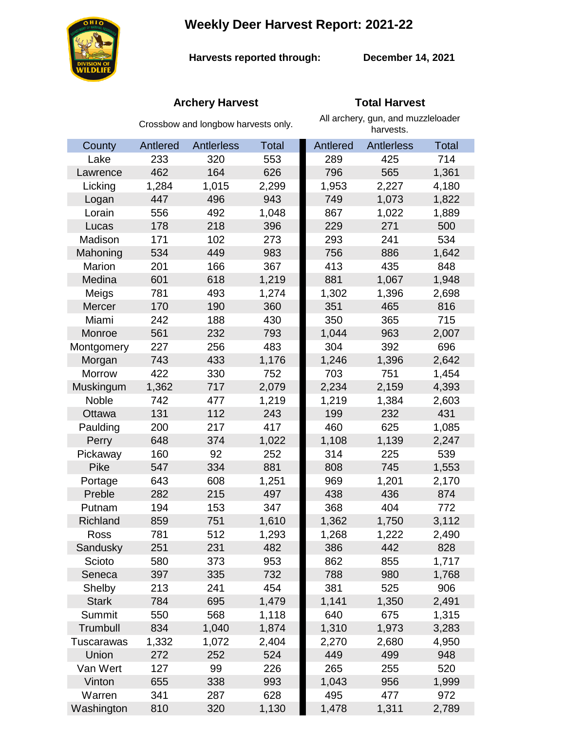**Weekly Deer Harvest Report: 2021-22**



**Harvests reported through:** 

**December 14, 2021**

# **Archery Harvest Total Harvest**

|              | Crossbow and longbow harvests only. |            |              | All archery, gun, and muzzleloader<br>harvests. |                   |              |  |
|--------------|-------------------------------------|------------|--------------|-------------------------------------------------|-------------------|--------------|--|
| County       | Antlered                            | Antlerless | <b>Total</b> | Antlered                                        | <b>Antlerless</b> | <b>Total</b> |  |
| Lake         | 233                                 | 320        | 553          | 289                                             | 425               | 714          |  |
| Lawrence     | 462                                 | 164        | 626          | 796                                             | 565               | 1,361        |  |
| Licking      | 1,284                               | 1,015      | 2,299        | 1,953                                           | 2,227             | 4,180        |  |
| Logan        | 447                                 | 496        | 943          | 749                                             | 1,073             | 1,822        |  |
| Lorain       | 556                                 | 492        | 1,048        | 867                                             | 1,022             | 1,889        |  |
| Lucas        | 178                                 | 218        | 396          | 229                                             | 271               | 500          |  |
| Madison      | 171                                 | 102        | 273          | 293                                             | 241               | 534          |  |
| Mahoning     | 534                                 | 449        | 983          | 756                                             | 886               | 1,642        |  |
| Marion       | 201                                 | 166        | 367          | 413                                             | 435               | 848          |  |
| Medina       | 601                                 | 618        | 1,219        | 881                                             | 1,067             | 1,948        |  |
| Meigs        | 781                                 | 493        | 1,274        | 1,302                                           | 1,396             | 2,698        |  |
| Mercer       | 170                                 | 190        | 360          | 351                                             | 465               | 816          |  |
| Miami        | 242                                 | 188        | 430          | 350                                             | 365               | 715          |  |
| Monroe       | 561                                 | 232        | 793          | 1,044                                           | 963               | 2,007        |  |
| Montgomery   | 227                                 | 256        | 483          | 304                                             | 392               | 696          |  |
| Morgan       | 743                                 | 433        | 1,176        | 1,246                                           | 1,396             | 2,642        |  |
| Morrow       | 422                                 | 330        | 752          | 703                                             | 751               | 1,454        |  |
| Muskingum    | 1,362                               | 717        | 2,079        | 2,234                                           | 2,159             | 4,393        |  |
| <b>Noble</b> | 742                                 | 477        | 1,219        | 1,219                                           | 1,384             | 2,603        |  |
| Ottawa       | 131                                 | 112        | 243          | 199                                             | 232               | 431          |  |
| Paulding     | 200                                 | 217        | 417          | 460                                             | 625               | 1,085        |  |
| Perry        | 648                                 | 374        | 1,022        | 1,108                                           | 1,139             | 2,247        |  |
| Pickaway     | 160                                 | 92         | 252          | 314                                             | 225               | 539          |  |
| Pike         | 547                                 | 334        | 881          | 808                                             | 745               | 1,553        |  |
| Portage      | 643                                 | 608        | 1,251        | 969                                             | 1,201             | 2,170        |  |
| Preble       | 282                                 | 215        | 497          | 438                                             | 436               | 874          |  |
| Putnam       | 194                                 | 153        | 347          | 368                                             | 404               | 772          |  |
| Richland     | 859                                 | 751        | 1,610        | 1,362                                           | 1,750             | 3,112        |  |
| Ross         | 781                                 | 512        | 1,293        | 1,268                                           | 1,222             | 2,490        |  |
| Sandusky     | 251                                 | 231        | 482          | 386                                             | 442               | 828          |  |
| Scioto       | 580                                 | 373        | 953          | 862                                             | 855               | 1,717        |  |
| Seneca       | 397                                 | 335        | 732          | 788                                             | 980               | 1,768        |  |
| Shelby       | 213                                 | 241        | 454          | 381                                             | 525               | 906          |  |
| <b>Stark</b> | 784                                 | 695        | 1,479        | 1,141                                           | 1,350             | 2,491        |  |
| Summit       | 550                                 | 568        | 1,118        | 640                                             | 675               | 1,315        |  |
| Trumbull     | 834                                 | 1,040      | 1,874        | 1,310                                           | 1,973             | 3,283        |  |
| Tuscarawas   | 1,332                               | 1,072      | 2,404        | 2,270                                           | 2,680             | 4,950        |  |
| Union        | 272                                 | 252        | 524          | 449                                             | 499               | 948          |  |
| Van Wert     | 127                                 | 99         | 226          | 265                                             | 255               | 520          |  |
| Vinton       | 655                                 | 338        | 993          | 1,043                                           | 956               | 1,999        |  |
| Warren       | 341                                 | 287        | 628          | 495                                             | 477               | 972          |  |
| Washington   | 810                                 | 320        | 1,130        | 1,478                                           | 1,311             | 2,789        |  |